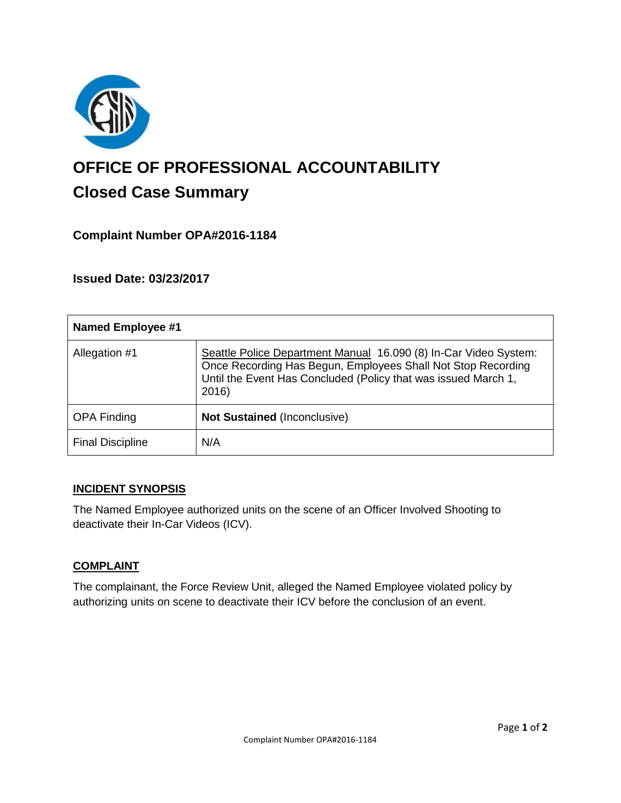

# **OFFICE OF PROFESSIONAL ACCOUNTABILITY Closed Case Summary**

## **Complaint Number OPA#2016-1184**

**Issued Date: 03/23/2017**

| <b>Named Employee #1</b> |                                                                                                                                                                                                             |
|--------------------------|-------------------------------------------------------------------------------------------------------------------------------------------------------------------------------------------------------------|
| Allegation #1            | Seattle Police Department Manual 16.090 (8) In-Car Video System:<br>Once Recording Has Begun, Employees Shall Not Stop Recording<br>Until the Event Has Concluded (Policy that was issued March 1,<br>2016) |
| <b>OPA Finding</b>       | <b>Not Sustained (Inconclusive)</b>                                                                                                                                                                         |
| <b>Final Discipline</b>  | N/A                                                                                                                                                                                                         |

#### **INCIDENT SYNOPSIS**

The Named Employee authorized units on the scene of an Officer Involved Shooting to deactivate their In-Car Videos (ICV).

#### **COMPLAINT**

The complainant, the Force Review Unit, alleged the Named Employee violated policy by authorizing units on scene to deactivate their ICV before the conclusion of an event.